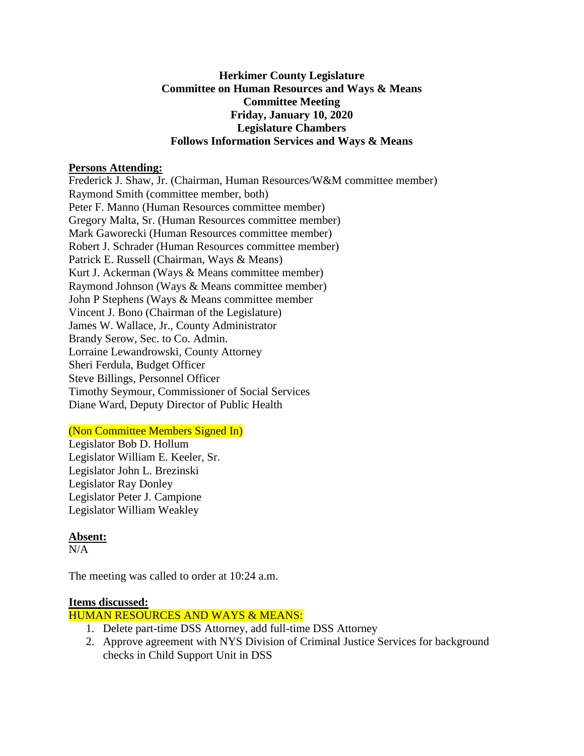### **Herkimer County Legislature Committee on Human Resources and Ways & Means Committee Meeting Friday, January 10, 2020 Legislature Chambers Follows Information Services and Ways & Means**

### **Persons Attending:**

Frederick J. Shaw, Jr. (Chairman, Human Resources/W&M committee member) Raymond Smith (committee member, both) Peter F. Manno (Human Resources committee member) Gregory Malta, Sr. (Human Resources committee member) Mark Gaworecki (Human Resources committee member) Robert J. Schrader (Human Resources committee member) Patrick E. Russell (Chairman, Ways & Means) Kurt J. Ackerman (Ways & Means committee member) Raymond Johnson (Ways & Means committee member) John P Stephens (Ways & Means committee member Vincent J. Bono (Chairman of the Legislature) James W. Wallace, Jr., County Administrator Brandy Serow, Sec. to Co. Admin. Lorraine Lewandrowski, County Attorney Sheri Ferdula, Budget Officer Steve Billings, Personnel Officer Timothy Seymour, Commissioner of Social Services Diane Ward, Deputy Director of Public Health

### (Non Committee Members Signed In)

Legislator Bob D. Hollum Legislator William E. Keeler, Sr. Legislator John L. Brezinski Legislator Ray Donley Legislator Peter J. Campione Legislator William Weakley

## **Absent:**

 $N/A$ 

The meeting was called to order at 10:24 a.m.

### **Items discussed:**

HUMAN RESOURCES AND WAYS & MEANS:

- 1. Delete part-time DSS Attorney, add full-time DSS Attorney
- 2. Approve agreement with NYS Division of Criminal Justice Services for background checks in Child Support Unit in DSS